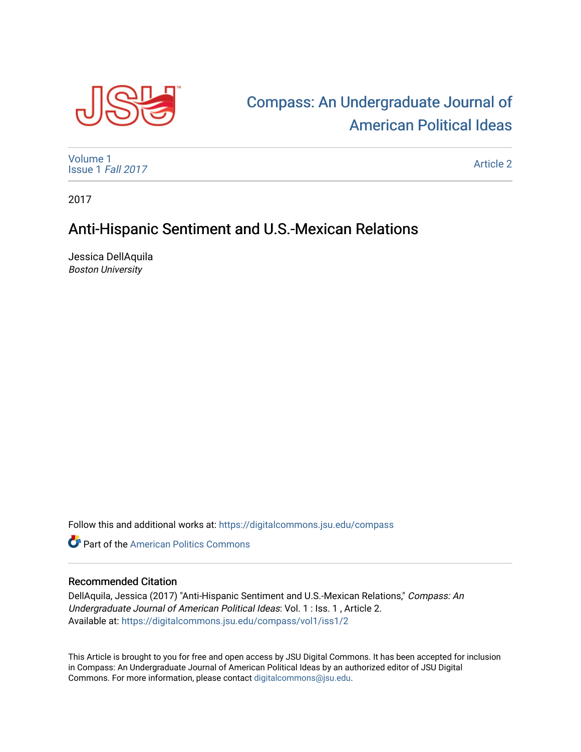

## [Compass: An Undergraduate Journal of](https://digitalcommons.jsu.edu/compass)  [American Political Ideas](https://digitalcommons.jsu.edu/compass)

[Volume 1](https://digitalcommons.jsu.edu/compass/vol1) [Issue 1](https://digitalcommons.jsu.edu/compass/vol1/iss1) Fall 2017

[Article 2](https://digitalcommons.jsu.edu/compass/vol1/iss1/2) 

2017

## Anti-Hispanic Sentiment and U.S.-Mexican Relations

Jessica DellAquila Boston University

Follow this and additional works at: [https://digitalcommons.jsu.edu/compass](https://digitalcommons.jsu.edu/compass?utm_source=digitalcommons.jsu.edu%2Fcompass%2Fvol1%2Fiss1%2F2&utm_medium=PDF&utm_campaign=PDFCoverPages)

**C** Part of the American Politics Commons

## Recommended Citation

DellAquila, Jessica (2017) "Anti-Hispanic Sentiment and U.S.-Mexican Relations," Compass: An Undergraduate Journal of American Political Ideas: Vol. 1 : Iss. 1 , Article 2. Available at: [https://digitalcommons.jsu.edu/compass/vol1/iss1/2](https://digitalcommons.jsu.edu/compass/vol1/iss1/2?utm_source=digitalcommons.jsu.edu%2Fcompass%2Fvol1%2Fiss1%2F2&utm_medium=PDF&utm_campaign=PDFCoverPages)

This Article is brought to you for free and open access by JSU Digital Commons. It has been accepted for inclusion in Compass: An Undergraduate Journal of American Political Ideas by an authorized editor of JSU Digital Commons. For more information, please contact [digitalcommons@jsu.edu.](mailto:digitalcommons@jsu.edu)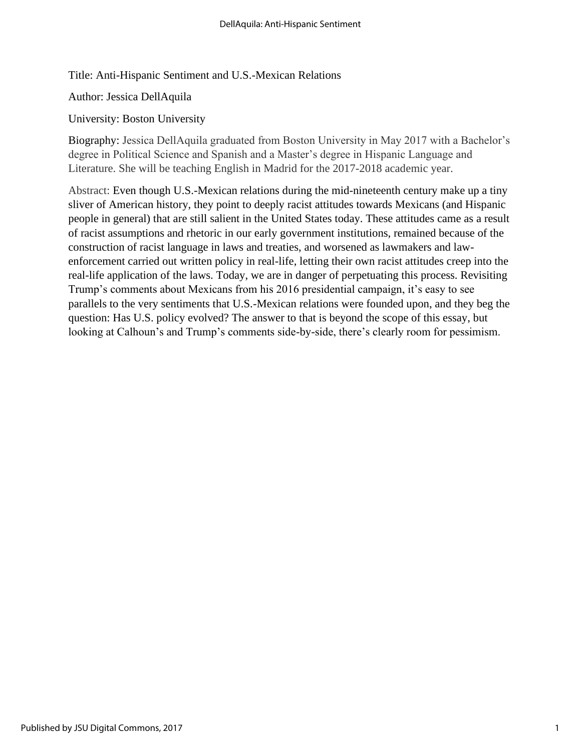Title: Anti-Hispanic Sentiment and U.S.-Mexican Relations

Author: Jessica DellAquila

University: Boston University

Biography: Jessica DellAquila graduated from Boston University in May 2017 with a Bachelor's degree in Political Science and Spanish and a Master's degree in Hispanic Language and Literature. She will be teaching English in Madrid for the 2017-2018 academic year.

Abstract: Even though U.S.-Mexican relations during the mid-nineteenth century make up a tiny sliver of American history, they point to deeply racist attitudes towards Mexicans (and Hispanic people in general) that are still salient in the United States today. These attitudes came as a result of racist assumptions and rhetoric in our early government institutions, remained because of the construction of racist language in laws and treaties, and worsened as lawmakers and lawenforcement carried out written policy in real-life, letting their own racist attitudes creep into the real-life application of the laws. Today, we are in danger of perpetuating this process. Revisiting Trump's comments about Mexicans from his 2016 presidential campaign, it's easy to see parallels to the very sentiments that U.S.-Mexican relations were founded upon, and they beg the question: Has U.S. policy evolved? The answer to that is beyond the scope of this essay, but looking at Calhoun's and Trump's comments side-by-side, there's clearly room for pessimism.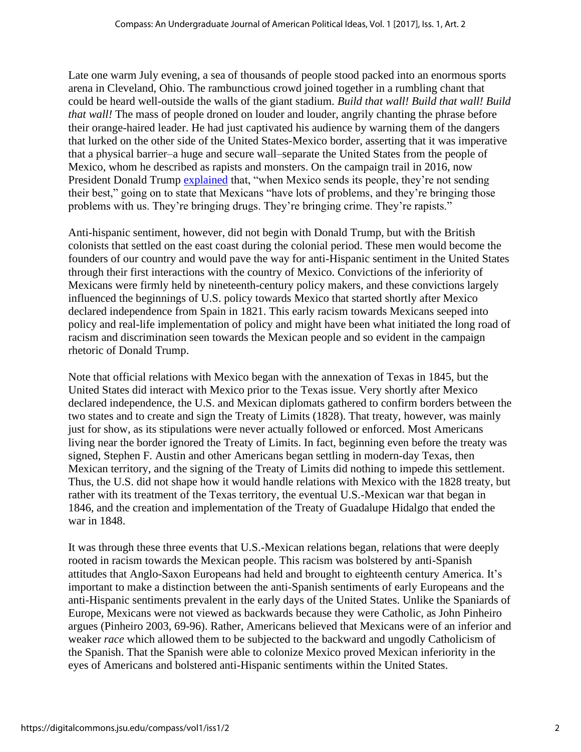Late one warm July evening, a sea of thousands of people stood packed into an enormous sports arena in Cleveland, Ohio. The rambunctious crowd joined together in a rumbling chant that could be heard well-outside the walls of the giant stadium. *Build that wall! Build that wall! Build that wall!* The mass of people droned on louder and louder, angrily chanting the phrase before their orange-haired leader. He had just captivated his audience by warning them of the dangers that lurked on the other side of the United States-Mexico border, asserting that it was imperative that a physical barrier–a huge and secure wall–separate the United States from the people of Mexico, whom he described as rapists and monsters. On the campaign trail in 2016, now President Donald Trump [explained](https://www.washingtonpost.com/news/fact-checker/wp/2015/07/08/donald-trumps-false-comments-connecting-mexican-immigrants-and-crime/?utm_term=.bce22b4c151c) that, "when Mexico sends its people, they're not sending their best," going on to state that Mexicans "have lots of problems, and they're bringing those problems with us. They're bringing drugs. They're bringing crime. They're rapists."

Anti-hispanic sentiment, however, did not begin with Donald Trump, but with the British colonists that settled on the east coast during the colonial period. These men would become the founders of our country and would pave the way for anti-Hispanic sentiment in the United States through their first interactions with the country of Mexico. Convictions of the inferiority of Mexicans were firmly held by nineteenth-century policy makers, and these convictions largely influenced the beginnings of U.S. policy towards Mexico that started shortly after Mexico declared independence from Spain in 1821. This early racism towards Mexicans seeped into policy and real-life implementation of policy and might have been what initiated the long road of racism and discrimination seen towards the Mexican people and so evident in the campaign rhetoric of Donald Trump.

Note that official relations with Mexico began with the annexation of Texas in 1845, but the United States did interact with Mexico prior to the Texas issue. Very shortly after Mexico declared independence, the U.S. and Mexican diplomats gathered to confirm borders between the two states and to create and sign the Treaty of Limits (1828). That treaty, however, was mainly just for show, as its stipulations were never actually followed or enforced. Most Americans living near the border ignored the Treaty of Limits. In fact, beginning even before the treaty was signed, Stephen F. Austin and other Americans began settling in modern-day Texas, then Mexican territory, and the signing of the Treaty of Limits did nothing to impede this settlement. Thus, the U.S. did not shape how it would handle relations with Mexico with the 1828 treaty, but rather with its treatment of the Texas territory, the eventual U.S.-Mexican war that began in 1846, and the creation and implementation of the Treaty of Guadalupe Hidalgo that ended the war in 1848.

It was through these three events that U.S.-Mexican relations began, relations that were deeply rooted in racism towards the Mexican people. This racism was bolstered by anti-Spanish attitudes that Anglo-Saxon Europeans had held and brought to eighteenth century America. It's important to make a distinction between the anti-Spanish sentiments of early Europeans and the anti-Hispanic sentiments prevalent in the early days of the United States. Unlike the Spaniards of Europe, Mexicans were not viewed as backwards because they were Catholic, as John Pinheiro argues (Pinheiro 2003, 69-96). Rather, Americans believed that Mexicans were of an inferior and weaker *race* which allowed them to be subjected to the backward and ungodly Catholicism of the Spanish. That the Spanish were able to colonize Mexico proved Mexican inferiority in the eyes of Americans and bolstered anti-Hispanic sentiments within the United States.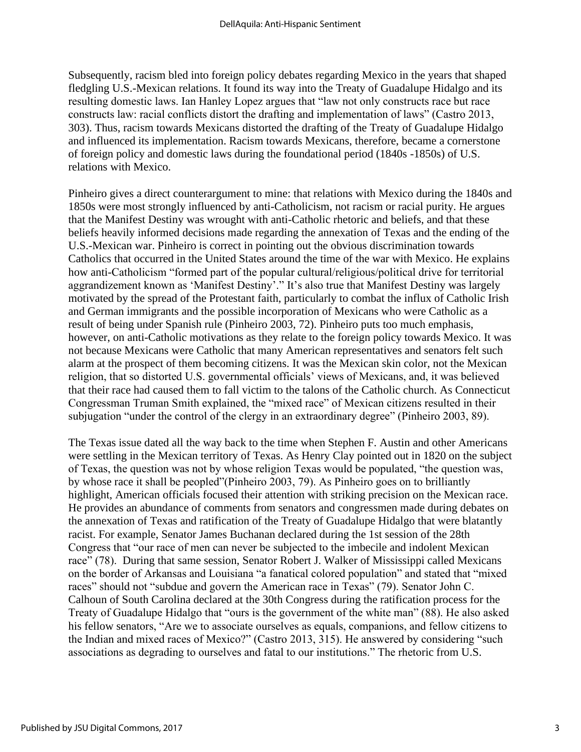Subsequently, racism bled into foreign policy debates regarding Mexico in the years that shaped fledgling U.S.-Mexican relations. It found its way into the Treaty of Guadalupe Hidalgo and its resulting domestic laws. Ian Hanley Lopez argues that "law not only constructs race but race constructs law: racial conflicts distort the drafting and implementation of laws" (Castro 2013, 303). Thus, racism towards Mexicans distorted the drafting of the Treaty of Guadalupe Hidalgo and influenced its implementation. Racism towards Mexicans, therefore, became a cornerstone of foreign policy and domestic laws during the foundational period (1840s -1850s) of U.S. relations with Mexico.

Pinheiro gives a direct counterargument to mine: that relations with Mexico during the 1840s and 1850s were most strongly influenced by anti-Catholicism, not racism or racial purity. He argues that the Manifest Destiny was wrought with anti-Catholic rhetoric and beliefs, and that these beliefs heavily informed decisions made regarding the annexation of Texas and the ending of the U.S.-Mexican war. Pinheiro is correct in pointing out the obvious discrimination towards Catholics that occurred in the United States around the time of the war with Mexico. He explains how anti-Catholicism "formed part of the popular cultural/religious/political drive for territorial aggrandizement known as 'Manifest Destiny'." It's also true that Manifest Destiny was largely motivated by the spread of the Protestant faith, particularly to combat the influx of Catholic Irish and German immigrants and the possible incorporation of Mexicans who were Catholic as a result of being under Spanish rule (Pinheiro 2003, 72). Pinheiro puts too much emphasis, however, on anti-Catholic motivations as they relate to the foreign policy towards Mexico. It was not because Mexicans were Catholic that many American representatives and senators felt such alarm at the prospect of them becoming citizens. It was the Mexican skin color, not the Mexican religion, that so distorted U.S. governmental officials' views of Mexicans, and, it was believed that their race had caused them to fall victim to the talons of the Catholic church. As Connecticut Congressman Truman Smith explained, the "mixed race" of Mexican citizens resulted in their subjugation "under the control of the clergy in an extraordinary degree" (Pinheiro 2003, 89).

The Texas issue dated all the way back to the time when Stephen F. Austin and other Americans were settling in the Mexican territory of Texas. As Henry Clay pointed out in 1820 on the subject of Texas, the question was not by whose religion Texas would be populated, "the question was, by whose race it shall be peopled"(Pinheiro 2003, 79). As Pinheiro goes on to brilliantly highlight, American officials focused their attention with striking precision on the Mexican race. He provides an abundance of comments from senators and congressmen made during debates on the annexation of Texas and ratification of the Treaty of Guadalupe Hidalgo that were blatantly racist. For example, Senator James Buchanan declared during the 1st session of the 28th Congress that "our race of men can never be subjected to the imbecile and indolent Mexican race" (78). During that same session, Senator Robert J. Walker of Mississippi called Mexicans on the border of Arkansas and Louisiana "a fanatical colored population" and stated that "mixed races" should not "subdue and govern the American race in Texas" (79). Senator John C. Calhoun of South Carolina declared at the 30th Congress during the ratification process for the Treaty of Guadalupe Hidalgo that "ours is the government of the white man" (88). He also asked his fellow senators, "Are we to associate ourselves as equals, companions, and fellow citizens to the Indian and mixed races of Mexico?" (Castro 2013, 315). He answered by considering "such associations as degrading to ourselves and fatal to our institutions." The rhetoric from U.S.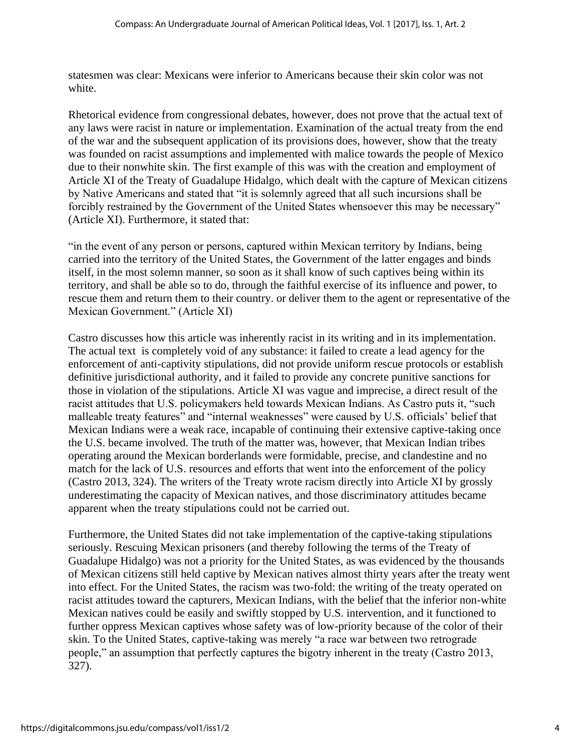statesmen was clear: Mexicans were inferior to Americans because their skin color was not white.

Rhetorical evidence from congressional debates, however, does not prove that the actual text of any laws were racist in nature or implementation. Examination of the actual treaty from the end of the war and the subsequent application of its provisions does, however, show that the treaty was founded on racist assumptions and implemented with malice towards the people of Mexico due to their nonwhite skin. The first example of this was with the creation and employment of Article XI of the Treaty of Guadalupe Hidalgo, which dealt with the capture of Mexican citizens by Native Americans and stated that "it is solemnly agreed that all such incursions shall be forcibly restrained by the Government of the United States whensoever this may be necessary" (Article XI). Furthermore, it stated that:

"in the event of any person or persons, captured within Mexican territory by Indians, being carried into the territory of the United States, the Government of the latter engages and binds itself, in the most solemn manner, so soon as it shall know of such captives being within its territory, and shall be able so to do, through the faithful exercise of its influence and power, to rescue them and return them to their country. or deliver them to the agent or representative of the Mexican Government." (Article XI)

Castro discusses how this article was inherently racist in its writing and in its implementation. The actual text is completely void of any substance: it failed to create a lead agency for the enforcement of anti-captivity stipulations, did not provide uniform rescue protocols or establish definitive jurisdictional authority, and it failed to provide any concrete punitive sanctions for those in violation of the stipulations. Article XI was vague and imprecise, a direct result of the racist attitudes that U.S. policymakers held towards Mexican Indians. As Castro puts it, "such malleable treaty features" and "internal weaknesses" were caused by U.S. officials' belief that Mexican Indians were a weak race, incapable of continuing their extensive captive-taking once the U.S. became involved. The truth of the matter was, however, that Mexican Indian tribes operating around the Mexican borderlands were formidable, precise, and clandestine and no match for the lack of U.S. resources and efforts that went into the enforcement of the policy (Castro 2013, 324). The writers of the Treaty wrote racism directly into Article XI by grossly underestimating the capacity of Mexican natives, and those discriminatory attitudes became apparent when the treaty stipulations could not be carried out.

Furthermore, the United States did not take implementation of the captive-taking stipulations seriously. Rescuing Mexican prisoners (and thereby following the terms of the Treaty of Guadalupe Hidalgo) was not a priority for the United States, as was evidenced by the thousands of Mexican citizens still held captive by Mexican natives almost thirty years after the treaty went into effect. For the United States, the racism was two-fold: the writing of the treaty operated on racist attitudes toward the capturers, Mexican Indians, with the belief that the inferior non-white Mexican natives could be easily and swiftly stopped by U.S. intervention, and it functioned to further oppress Mexican captives whose safety was of low-priority because of the color of their skin. To the United States, captive-taking was merely "a race war between two retrograde people," an assumption that perfectly captures the bigotry inherent in the treaty (Castro 2013, 327).